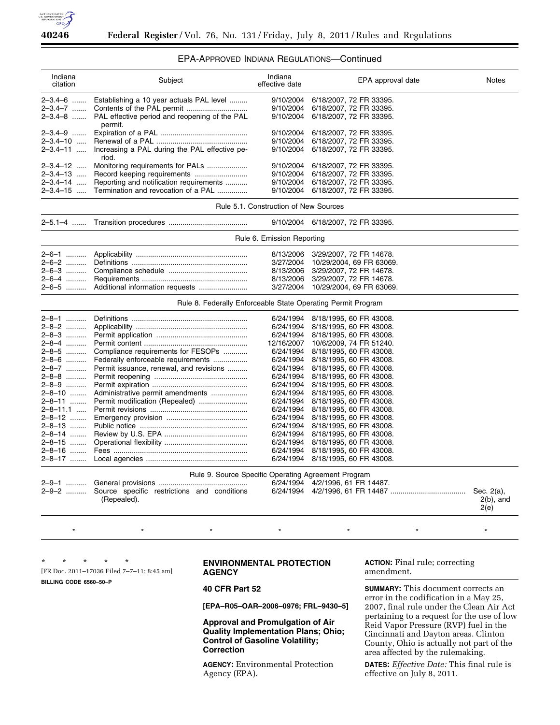

# EPA-APPROVED INDIANA REGULATIONS—Continued

| Indiana<br>citation                                                                                 | Subject                                                      | Indiana<br>effective date             | EPA approval date        | <b>Notes</b>                       |
|-----------------------------------------------------------------------------------------------------|--------------------------------------------------------------|---------------------------------------|--------------------------|------------------------------------|
| 2-3.4-6                                                                                             | Establishing a 10 year actuals PAL level                     | 9/10/2004                             | 6/18/2007, 72 FR 33395.  |                                    |
| 2–3.4–7                                                                                             |                                                              | 9/10/2004                             | 6/18/2007, 72 FR 33395.  |                                    |
| $2 - 3.4 - 8$                                                                                       | PAL effective period and reopening of the PAL<br>permit.     | 9/10/2004                             | 6/18/2007, 72 FR 33395.  |                                    |
| 2–3.4–9                                                                                             |                                                              | 9/10/2004                             | 6/18/2007, 72 FR 33395.  |                                    |
| 2-3.4-10                                                                                            |                                                              | 9/10/2004                             | 6/18/2007, 72 FR 33395.  |                                    |
| 2-3.4-11                                                                                            | Increasing a PAL during the PAL effective pe-<br>riod.       | 9/10/2004                             | 6/18/2007, 72 FR 33395.  |                                    |
| 2–3.4–12 ….                                                                                         | Monitoring requirements for PALs                             | 9/10/2004                             | 6/18/2007, 72 FR 33395.  |                                    |
| 2–3.4–13                                                                                            |                                                              | 9/10/2004                             | 6/18/2007, 72 FR 33395.  |                                    |
| 2-3.4-14                                                                                            | Reporting and notification requirements                      | 9/10/2004                             | 6/18/2007, 72 FR 33395.  |                                    |
| 2-3.4-15                                                                                            | Termination and revocation of a PAL                          | 9/10/2004                             | 6/18/2007, 72 FR 33395.  |                                    |
|                                                                                                     |                                                              | Rule 5.1. Construction of New Sources |                          |                                    |
|                                                                                                     |                                                              | 9/10/2004                             | 6/18/2007, 72 FR 33395.  |                                    |
|                                                                                                     |                                                              | Rule 6. Emission Reporting            |                          |                                    |
| 2–6–1                                                                                               |                                                              | 8/13/2006                             | 3/29/2007, 72 FR 14678.  |                                    |
| 2-6-2                                                                                               |                                                              | 3/27/2004                             | 10/29/2004, 69 FR 63069. |                                    |
| 2-6-3                                                                                               |                                                              | 8/13/2006                             | 3/29/2007, 72 FR 14678.  |                                    |
| 2-6-4                                                                                               |                                                              | 8/13/2006                             | 3/29/2007, 72 FR 14678.  |                                    |
| 2-6-5                                                                                               |                                                              | 3/27/2004                             | 10/29/2004, 69 FR 63069. |                                    |
|                                                                                                     | Rule 8. Federally Enforceable State Operating Permit Program |                                       |                          |                                    |
| 2-8-1                                                                                               |                                                              | 6/24/1994                             | 8/18/1995, 60 FR 43008.  |                                    |
| 2-8-2                                                                                               |                                                              | 6/24/1994                             | 8/18/1995, 60 FR 43008.  |                                    |
| 2-8-3                                                                                               |                                                              | 6/24/1994                             | 8/18/1995, 60 FR 43008.  |                                    |
| 2-8-4                                                                                               |                                                              | 12/16/2007                            | 10/6/2009, 74 FR 51240.  |                                    |
| 2-8-5                                                                                               | Compliance requirements for FESOPs                           | 6/24/1994                             | 8/18/1995, 60 FR 43008.  |                                    |
| 2-8-6                                                                                               | Federally enforceable requirements                           | 6/24/1994                             | 8/18/1995, 60 FR 43008.  |                                    |
| 2-8-7                                                                                               | Permit issuance, renewal, and revisions                      | 6/24/1994                             | 8/18/1995, 60 FR 43008.  |                                    |
| 2-8-8                                                                                               |                                                              | 6/24/1994                             | 8/18/1995, 60 FR 43008.  |                                    |
| $2 - 8 - 9$                                                                                         |                                                              | 6/24/1994                             | 8/18/1995, 60 FR 43008.  |                                    |
| 2-8-10                                                                                              | Administrative permit amendments                             | 6/24/1994                             |                          |                                    |
|                                                                                                     |                                                              |                                       | 8/18/1995, 60 FR 43008.  |                                    |
| 2–8–11                                                                                              |                                                              | 6/24/1994                             | 8/18/1995, 60 FR 43008.  |                                    |
| 2–8–11.1 ……                                                                                         |                                                              | 6/24/1994                             | 8/18/1995, 60 FR 43008.  |                                    |
| 2–8–12                                                                                              |                                                              | 6/24/1994                             | 8/18/1995, 60 FR 43008.  |                                    |
| 2–8–13                                                                                              |                                                              | 6/24/1994                             | 8/18/1995, 60 FR 43008.  |                                    |
| 2–8–14 ………                                                                                          |                                                              | 6/24/1994                             | 8/18/1995, 60 FR 43008.  |                                    |
| 2-8-15                                                                                              |                                                              | 6/24/1994                             | 8/18/1995, 60 FR 43008.  |                                    |
| 2–8–16 ………                                                                                          |                                                              | 6/24/1994                             | 8/18/1995, 60 FR 43008.  |                                    |
| 2-8-17                                                                                              |                                                              | 6/24/1994                             | 8/18/1995, 60 FR 43008.  |                                    |
| Rule 9. Source Specific Operating Agreement Program<br>4/2/1996, 61 FR 14487.<br>2–9–1<br>6/24/1994 |                                                              |                                       |                          |                                    |
| 2-9-2                                                                                               |                                                              | 6/24/1994                             |                          |                                    |
|                                                                                                     | Source specific restrictions and conditions<br>(Repealed).   |                                       |                          | Sec. 2(a),<br>$2(b)$ , and<br>2(e) |
|                                                                                                     |                                                              | $\star$                               |                          |                                    |
|                                                                                                     |                                                              |                                       |                          |                                    |

\* \* \* \* \*

[FR Doc. 2011–17036 Filed 7–7–11; 8:45 am]

**BILLING CODE 6560–50–P** 

## **ENVIRONMENTAL PROTECTION AGENCY**

# **40 CFR Part 52**

**[EPA–R05–OAR–2006–0976; FRL–9430–5]** 

**Approval and Promulgation of Air Quality Implementation Plans; Ohio; Control of Gasoline Volatility; Correction** 

**AGENCY:** Environmental Protection Agency (EPA).

**ACTION:** Final rule; correcting amendment.

**SUMMARY:** This document corrects an error in the codification in a May 25, 2007, final rule under the Clean Air Act pertaining to a request for the use of low Reid Vapor Pressure (RVP) fuel in the Cincinnati and Dayton areas. Clinton County, Ohio is actually not part of the area affected by the rulemaking.

**DATES:** *Effective Date:* This final rule is effective on July 8, 2011.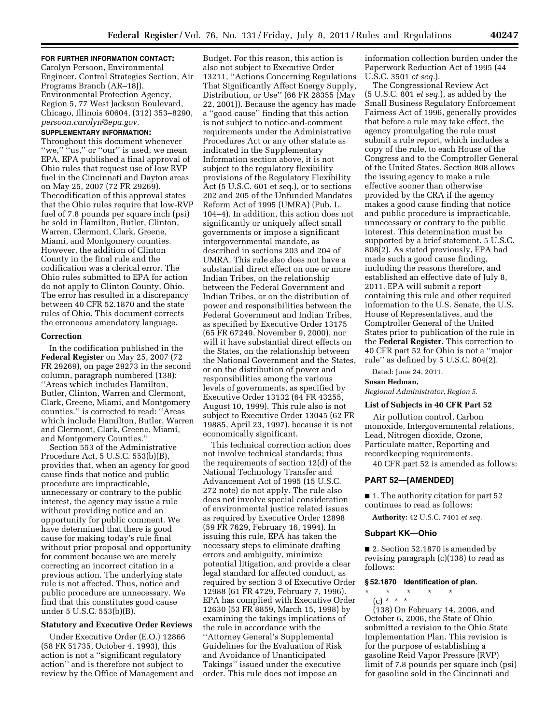# **FOR FURTHER INFORMATION CONTACT:**

Carolyn Persoon, Environmental Engineer, Control Strategies Section, Air Programs Branch (AR–18J), Environmental Protection Agency, Region 5, 77 West Jackson Boulevard, Chicago, Illinois 60604, (312) 353–8290, *[persoon.carolyn@epa.gov.](mailto:persoon.carolyn@epa.gov)* 

### **SUPPLEMENTARY INFORMATION:**

Throughout this document whenever "we," "us," or "our" is used, we mean EPA. EPA published a final approval of Ohio rules that request use of low RVP fuel in the Cincinnati and Dayton areas on May 25, 2007 (72 FR 29269). Thecodification of this approval states that the Ohio rules require that low-RVP fuel of 7.8 pounds per square inch (psi) be sold in Hamilton, Butler, Clinton, Warren, Clermont, Clark, Greene, Miami, and Montgomery counties. However, the addition of Clinton County in the final rule and the codification was a clerical error. The Ohio rules submitted to EPA for action do not apply to Clinton County, Ohio. The error has resulted in a discrepancy between 40 CFR 52.1870 and the state rules of Ohio. This document corrects the erroneous amendatory language.

### **Correction**

In the codification published in the **Federal Register** on May 25, 2007 (72 FR 29269), on page 29273 in the second column, paragraph numbered (138): ''Areas which includes Hamilton, Butler, Clinton, Warren and Clermont, Clark, Greene, Miami, and Montgomery counties.'' is corrected to read: ''Areas which include Hamilton, Butler, Warren and Clermont, Clark, Greene, Miami, and Montgomery Counties.''

Section 553 of the Administrative Procedure Act, 5 U.S.C. 553(b)(B), provides that, when an agency for good cause finds that notice and public procedure are impracticable, unnecessary or contrary to the public interest, the agency may issue a rule without providing notice and an opportunity for public comment. We have determined that there is good cause for making today's rule final without prior proposal and opportunity for comment because we are merely correcting an incorrect citation in a previous action. The underlying state rule is not affected. Thus, notice and public procedure are unnecessary. We find that this constitutes good cause under 5 U.S.C. 553(b)(B).

## **Statutory and Executive Order Reviews**

Under Executive Order (E.O.) 12866 (58 FR 51735, October 4, 1993), this action is not a ''significant regulatory action'' and is therefore not subject to review by the Office of Management and

Budget. For this reason, this action is also not subject to Executive Order 13211, ''Actions Concerning Regulations That Significantly Affect Energy Supply, Distribution, or Use'' (66 FR 28355 (May 22, 2001)). Because the agency has made a ''good cause'' finding that this action is not subject to notice-and-comment requirements under the Administrative Procedures Act or any other statute as indicated in the Supplementary Information section above, it is not subject to the regulatory flexibility provisions of the Regulatory Flexibility Act (5 U.S.C. 601 et seq.), or to sections 202 and 205 of the Unfunded Mandates Reform Act of 1995 (UMRA) (Pub. L. 104–4). In addition, this action does not significantly or uniquely affect small governments or impose a significant intergovernmental mandate, as described in sections 203 and 204 of UMRA. This rule also does not have a substantial direct effect on one or more Indian Tribes, on the relationship between the Federal Government and Indian Tribes, or on the distribution of power and responsibilities between the Federal Government and Indian Tribes, as specified by Executive Order 13175 (65 FR 67249, November 9, 2000), nor will it have substantial direct effects on the States, on the relationship between the National Government and the States, or on the distribution of power and responsibilities among the various levels of governments, as specified by Executive Order 13132 (64 FR 43255, August 10, 1999). This rule also is not subject to Executive Order 13045 (62 FR 19885, April 23, 1997), because it is not economically significant.

This technical correction action does not involve technical standards; thus the requirements of section 12(d) of the National Technology Transfer and Advancement Act of 1995 (15 U.S.C. 272 note) do not apply. The rule also does not involve special consideration of environmental justice related issues as required by Executive Order 12898 (59 FR 7629, February 16, 1994). In issuing this rule, EPA has taken the necessary steps to eliminate drafting errors and ambiguity, minimize potential litigation, and provide a clear legal standard for affected conduct, as required by section 3 of Executive Order 12988 (61 FR 4729, February 7, 1996). EPA has complied with Executive Order 12630 (53 FR 8859, March 15, 1998) by examining the takings implications of the rule in accordance with the ''Attorney General's Supplemental Guidelines for the Evaluation of Risk and Avoidance of Unanticipated Takings'' issued under the executive order. This rule does not impose an

information collection burden under the Paperwork Reduction Act of 1995 (44 U.S.C. 3501 *et seq.*).

The Congressional Review Act (5 U.S.C. 801 *et seq.*), as added by the Small Business Regulatory Enforcement Fairness Act of 1996, generally provides that before a rule may take effect, the agency promulgating the rule must submit a rule report, which includes a copy of the rule, to each House of the Congress and to the Comptroller General of the United States. Section 808 allows the issuing agency to make a rule effective sooner than otherwise provided by the CRA if the agency makes a good cause finding that notice and public procedure is impracticable, unnecessary or contrary to the public interest. This determination must be supported by a brief statement. 5 U.S.C. 808(2). As stated previously, EPA had made such a good cause finding, including the reasons therefore, and established an effective date of July 8, 2011. EPA will submit a report containing this rule and other required information to the U.S. Senate, the U.S. House of Representatives, and the Comptroller General of the United States prior to publication of the rule in the **Federal Register**. This correction to 40 CFR part 52 for Ohio is not a ''major rule'' as defined by 5 U.S.C. 804(2).

Dated: June 24, 2011.

### **Susan Hedman,**

*Regional Administrator, Region 5.* 

#### **List of Subjects in 40 CFR Part 52**

Air pollution control, Carbon monoxide, Intergovernmental relations, Lead, Nitrogen dioxide, Ozone, Particulate matter, Reporting and recordkeeping requirements.

40 CFR part 52 is amended as follows:

#### **PART 52—[AMENDED]**

■ 1. The authority citation for part 52 continues to read as follows:

**Authority:** 42 U.S.C. 7401 *et seq.* 

### **Subpart KK—Ohio**

■ 2. Section 52.1870 is amended by revising paragraph (c)(138) to read as follows:

### **§ 52.1870 Identification of plan.**

\* \* \* \* \*

(c) \* \* \* (138) On February 14, 2006, and October 6, 2006, the State of Ohio submitted a revision to the Ohio State Implementation Plan. This revision is for the purpose of establishing a gasoline Reid Vapor Pressure (RVP) limit of 7.8 pounds per square inch (psi) for gasoline sold in the Cincinnati and